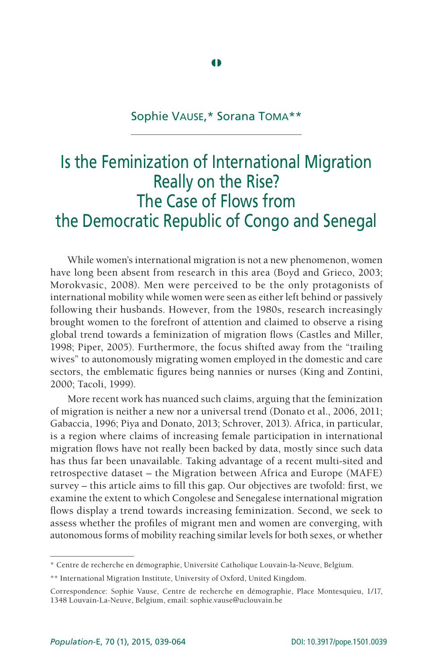# Sophie Vause,\* Sorana Toma\*\*

# Is the Feminization of International Migration Really on the Rise? The Case of Flows from the Democratic Republic of Congo and Senegal

While women's international migration is not a new phenomenon, women have long been absent from research in this area (Boyd and Grieco, 2003; Morokvasic, 2008). Men were perceived to be the only protagonists of international mobility while women were seen as either left behind or passively following their husbands. However, from the 1980s, research increasingly brought women to the forefront of attention and claimed to observe a rising global trend towards a feminization of migration flows (Castles and Miller, 1998; Piper, 2005). Furthermore, the focus shifted away from the "trailing wives" to autonomously migrating women employed in the domestic and care sectors, the emblematic figures being nannies or nurses (King and Zontini, 2000; Tacoli, 1999).

More recent work has nuanced such claims, arguing that the feminization of migration is neither a new nor a universal trend (Donato et al., 2006, 2011; Gabaccia, 1996; Piya and Donato, 2013; Schrover, 2013). Africa, in particular, is a region where claims of increasing female participation in international migration flows have not really been backed by data, mostly since such data has thus far been unavailable. Taking advantage of a recent multi-sited and retrospective dataset – the Migration between Africa and Europe (MAFE) survey – this article aims to fill this gap. Our objectives are twofold: first, we examine the extent to which Congolese and Senegalese international migration flows display a trend towards increasing feminization. Second, we seek to assess whether the profiles of migrant men and women are converging, with autonomous forms of mobility reaching similar levels for both sexes, or whether

<sup>\*</sup> Centre de recherche en démographie, Université Catholique Louvain-la-Neuve, Belgium.

<sup>\*\*</sup> International Migration Institute, University of Oxford, United Kingdom.

Correspondence: Sophie Vause, Centre de recherche en démographie, Place Montesquieu, 1/17, 1348 Louvain-La-Neuve, Belgium, email: sophie.vause@uclouvain.be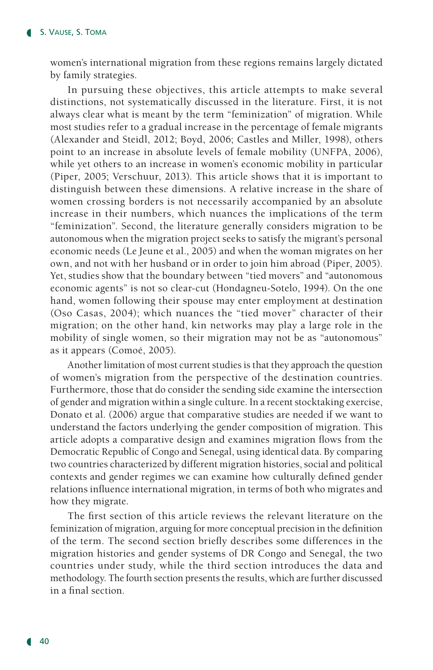women's international migration from these regions remains largely dictated by family strategies.

In pursuing these objectives, this article attempts to make several distinctions, not systematically discussed in the literature. First, it is not always clear what is meant by the term "feminization" of migration. While most studies refer to a gradual increase in the percentage of female migrants (Alexander and Steidl, 2012; Boyd, 2006; Castles and Miller, 1998), others point to an increase in absolute levels of female mobility (UNFPA, 2006), while yet others to an increase in women's economic mobility in particular (Piper, 2005; Verschuur, 2013). This article shows that it is important to distinguish between these dimensions. A relative increase in the share of women crossing borders is not necessarily accompanied by an absolute increase in their numbers, which nuances the implications of the term "feminization". Second, the literature generally considers migration to be autonomous when the migration project seeks to satisfy the migrant's personal economic needs (Le Jeune et al., 2005) and when the woman migrates on her own, and not with her husband or in order to join him abroad (Piper, 2005). Yet, studies show that the boundary between "tied movers" and "autonomous economic agents" is not so clear-cut (Hondagneu-Sotelo, 1994). On the one hand, women following their spouse may enter employment at destination (Oso Casas, 2004); which nuances the "tied mover" character of their migration; on the other hand, kin networks may play a large role in the mobility of single women, so their migration may not be as "autonomous" as it appears (Comoé, 2005).

Another limitation of most current studies is that they approach the question of women's migration from the perspective of the destination countries. Furthermore, those that do consider the sending side examine the intersection of gender and migration within a single culture. In a recent stocktaking exercise, Donato et al. (2006) argue that comparative studies are needed if we want to understand the factors underlying the gender composition of migration. This article adopts a comparative design and examines migration flows from the Democratic Republic of Congo and Senegal, using identical data. By comparing two countries characterized by different migration histories, social and political contexts and gender regimes we can examine how culturally defined gender relations influence international migration, in terms of both who migrates and how they migrate.

The first section of this article reviews the relevant literature on the feminization of migration, arguing for more conceptual precision in the definition of the term. The second section briefly describes some differences in the migration histories and gender systems of DR Congo and Senegal, the two countries under study, while the third section introduces the data and methodology. The fourth section presents the results, which are further discussed in a final section.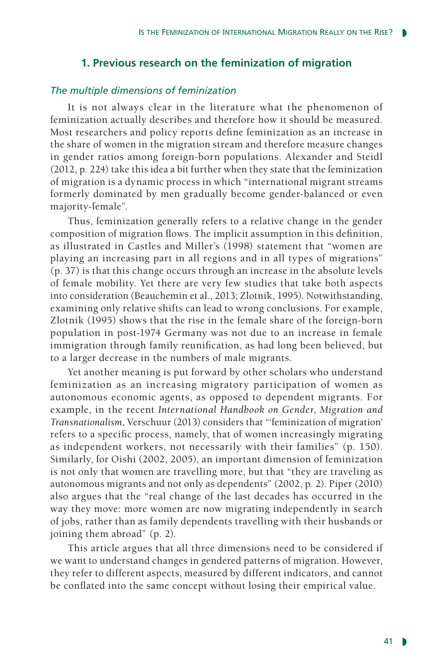# **1. Previous research on the feminization of migration**

## *The multiple dimensions of feminization*

It is not always clear in the literature what the phenomenon of feminization actually describes and therefore how it should be measured. Most researchers and policy reports define feminization as an increase in the share of women in the migration stream and therefore measure changes in gender ratios among foreign-born populations. Alexander and Steidl (2012, p. 224) take this idea a bit further when they state that the feminization of migration is a dynamic process in which "international migrant streams formerly dominated by men gradually become gender-balanced or even majority-female".

Thus, feminization generally refers to a relative change in the gender composition of migration flows. The implicit assumption in this definition, as illustrated in Castles and Miller's (1998) statement that "women are playing an increasing part in all regions and in all types of migrations" (p. 37) is that this change occurs through an increase in the absolute levels of female mobility. Yet there are very few studies that take both aspects into consideration (Beauchemin et al., 2013; Zlotnik, 1995). Notwithstanding, examining only relative shifts can lead to wrong conclusions. For example, Zlotnik (1995) shows that the rise in the female share of the foreign-born population in post-1974 Germany was not due to an increase in female immigration through family reunification, as had long been believed, but to a larger decrease in the numbers of male migrants.

Yet another meaning is put forward by other scholars who understand feminization as an increasing migratory participation of women as autonomous economic agents, as opposed to dependent migrants. For example, in the recent *International Handbook on Gender*, *Migration and Transnationalism*, Verschuur (2013) considers that "'feminization of migration' refers to a specific process, namely, that of women increasingly migrating as independent workers, not necessarily with their families" (p. 150). Similarly, for Oishi (2002, 2005), an important dimension of feminization is not only that women are travelling more, but that "they are traveling as autonomous migrants and not only as dependents" (2002, p. 2). Piper (2010) also argues that the "real change of the last decades has occurred in the way they move: more women are now migrating independently in search of jobs, rather than as family dependents travelling with their husbands or joining them abroad" (p. 2).

This article argues that all three dimensions need to be considered if we want to understand changes in gendered patterns of migration. However, they refer to different aspects, measured by different indicators, and cannot be conflated into the same concept without losing their empirical value.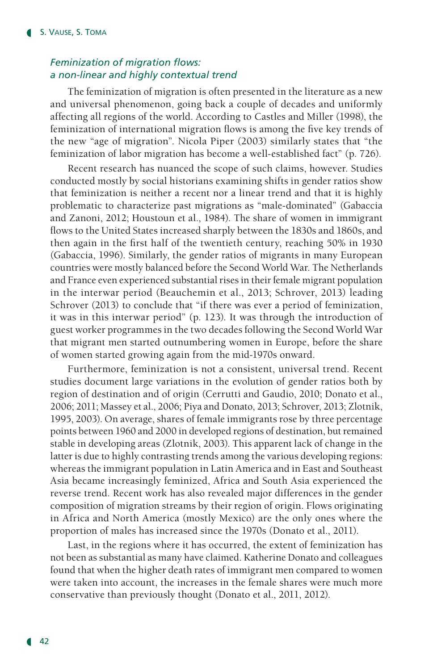# *Feminization of migration flows: a non-linear and highly contextual trend*

The feminization of migration is often presented in the literature as a new and universal phenomenon, going back a couple of decades and uniformly affecting all regions of the world. According to Castles and Miller (1998), the feminization of international migration flows is among the five key trends of the new "age of migration". Nicola Piper (2003) similarly states that "the feminization of labor migration has become a well-established fact" (p. 726).

Recent research has nuanced the scope of such claims, however. Studies conducted mostly by social historians examining shifts in gender ratios show that feminization is neither a recent nor a linear trend and that it is highly problematic to characterize past migrations as "male-dominated" (Gabaccia and Zanoni, 2012; Houstoun et al., 1984). The share of women in immigrant flows to the United States increased sharply between the 1830s and 1860s, and then again in the first half of the twentieth century, reaching 50% in 1930 (Gabaccia, 1996). Similarly, the gender ratios of migrants in many European countries were mostly balanced before the Second World War. The Netherlands and France even experienced substantial rises in their female migrant population in the interwar period (Beauchemin et al., 2013; Schrover, 2013) leading Schrover (2013) to conclude that "if there was ever a period of feminization, it was in this interwar period" (p. 123). It was through the introduction of guest worker programmes in the two decades following the Second World War that migrant men started outnumbering women in Europe, before the share of women started growing again from the mid-1970s onward.

Furthermore, feminization is not a consistent, universal trend. Recent studies document large variations in the evolution of gender ratios both by region of destination and of origin (Cerrutti and Gaudio, 2010; Donato et al., 2006; 2011; Massey et al., 2006; Piya and Donato, 2013; Schrover, 2013; Zlotnik, 1995, 2003). On average, shares of female immigrants rose by three percentage points between 1960 and 2000 in developed regions of destination, but remained stable in developing areas (Zlotnik, 2003). This apparent lack of change in the latter is due to highly contrasting trends among the various developing regions: whereas the immigrant population in Latin America and in East and Southeast Asia became increasingly feminized, Africa and South Asia experienced the reverse trend. Recent work has also revealed major differences in the gender composition of migration streams by their region of origin. Flows originating in Africa and North America (mostly Mexico) are the only ones where the proportion of males has increased since the 1970s (Donato et al., 2011).

Last, in the regions where it has occurred, the extent of feminization has not been as substantial as many have claimed. Katherine Donato and colleagues found that when the higher death rates of immigrant men compared to women were taken into account, the increases in the female shares were much more conservative than previously thought (Donato et al., 2011, 2012).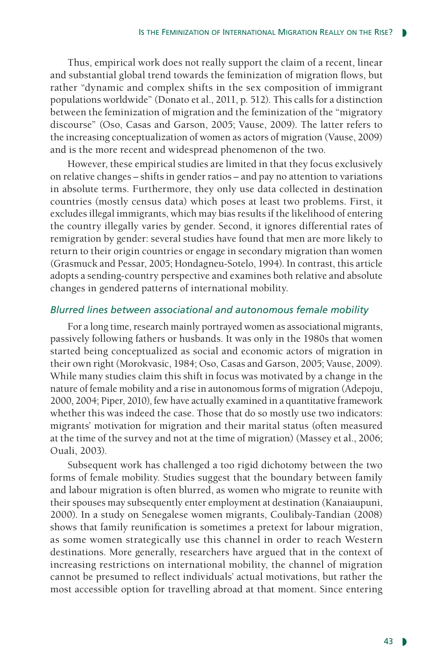Thus, empirical work does not really support the claim of a recent, linear and substantial global trend towards the feminization of migration flows, but rather "dynamic and complex shifts in the sex composition of immigrant populations worldwide" (Donato et al., 2011, p. 512). This calls for a distinction between the feminization of migration and the feminization of the "migratory discourse" (Oso, Casas and Garson, 2005; Vause, 2009). The latter refers to the increasing conceptualization of women as actors of migration (Vause, 2009) and is the more recent and widespread phenomenon of the two.

However, these empirical studies are limited in that they focus exclusively on relative changes – shifts in gender ratios – and pay no attention to variations in absolute terms. Furthermore, they only use data collected in destination countries (mostly census data) which poses at least two problems. First, it excludes illegal immigrants, which may bias results if the likelihood of entering the country illegally varies by gender. Second, it ignores differential rates of remigration by gender: several studies have found that men are more likely to return to their origin countries or engage in secondary migration than women (Grasmuck and Pessar, 2005; Hondagneu-Sotelo, 1994). In contrast, this article adopts a sending-country perspective and examines both relative and absolute changes in gendered patterns of international mobility.

## *Blurred lines between associational and autonomous female mobility*

For a long time, research mainly portrayed women as associational migrants, passively following fathers or husbands. It was only in the 1980s that women started being conceptualized as social and economic actors of migration in their own right (Morokvasic, 1984; Oso, Casas and Garson, 2005; Vause, 2009). While many studies claim this shift in focus was motivated by a change in the nature of female mobility and a rise in autonomous forms of migration (Adepoju, 2000, 2004; Piper, 2010), few have actually examined in a quantitative framework whether this was indeed the case. Those that do so mostly use two indicators: migrants' motivation for migration and their marital status (often measured at the time of the survey and not at the time of migration) (Massey et al., 2006; Ouali, 2003).

Subsequent work has challenged a too rigid dichotomy between the two forms of female mobility. Studies suggest that the boundary between family and labour migration is often blurred, as women who migrate to reunite with their spouses may subsequently enter employment at destination (Kanaiaupuni, 2000). In a study on Senegalese women migrants, Coulibaly-Tandian (2008) shows that family reunification is sometimes a pretext for labour migration, as some women strategically use this channel in order to reach Western destinations. More generally, researchers have argued that in the context of increasing restrictions on international mobility, the channel of migration cannot be presumed to reflect individuals' actual motivations, but rather the most accessible option for travelling abroad at that moment. Since entering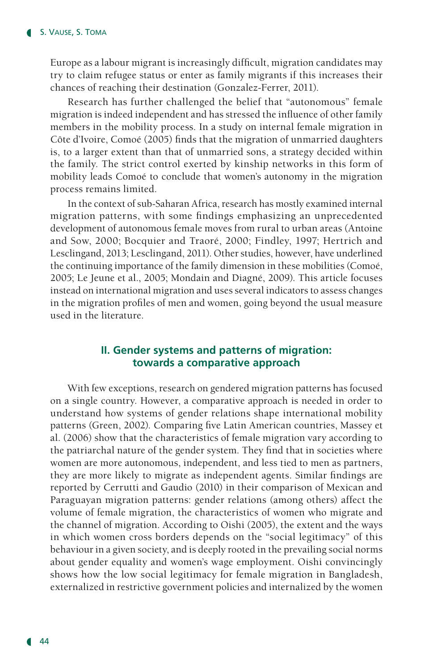Europe as a labour migrant is increasingly difficult, migration candidates may try to claim refugee status or enter as family migrants if this increases their chances of reaching their destination (Gonzalez-Ferrer, 2011).

Research has further challenged the belief that "autonomous" female migration is indeed independent and has stressed the influence of other family members in the mobility process. In a study on internal female migration in Côte d'Ivoire, Comoé (2005) finds that the migration of unmarried daughters is, to a larger extent than that of unmarried sons, a strategy decided within the family. The strict control exerted by kinship networks in this form of mobility leads Comoé to conclude that women's autonomy in the migration process remains limited.

In the context of sub-Saharan Africa, research has mostly examined internal migration patterns, with some findings emphasizing an unprecedented development of autonomous female moves from rural to urban areas (Antoine and Sow, 2000; Bocquier and Traoré, 2000; Findley, 1997; Hertrich and Lesclingand, 2013; Lesclingand, 2011). Other studies, however, have underlined the continuing importance of the family dimension in these mobilities (Comoé, 2005; Le Jeune et al., 2005; Mondain and Diagné, 2009). This article focuses instead on international migration and uses several indicators to assess changes in the migration profiles of men and women, going beyond the usual measure used in the literature.

## **II. Gender systems and patterns of migration: towards a comparative approach**

With few exceptions, research on gendered migration patterns has focused on a single country. However, a comparative approach is needed in order to understand how systems of gender relations shape international mobility patterns (Green, 2002). Comparing five Latin American countries, Massey et al. (2006) show that the characteristics of female migration vary according to the patriarchal nature of the gender system. They find that in societies where women are more autonomous, independent, and less tied to men as partners, they are more likely to migrate as independent agents. Similar findings are reported by Cerrutti and Gaudio (2010) in their comparison of Mexican and Paraguayan migration patterns: gender relations (among others) affect the volume of female migration, the characteristics of women who migrate and the channel of migration. According to Oishi (2005), the extent and the ways in which women cross borders depends on the "social legitimacy" of this behaviour in a given society, and is deeply rooted in the prevailing social norms about gender equality and women's wage employment. Oishi convincingly shows how the low social legitimacy for female migration in Bangladesh, externalized in restrictive government policies and internalized by the women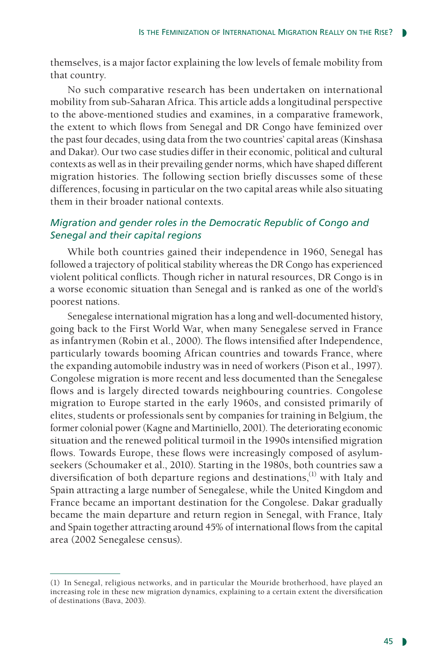themselves, is a major factor explaining the low levels of female mobility from that country.

No such comparative research has been undertaken on international mobility from sub-Saharan Africa. This article adds a longitudinal perspective to the above-mentioned studies and examines, in a comparative framework, the extent to which flows from Senegal and DR Congo have feminized over the past four decades, using data from the two countries' capital areas (Kinshasa and Dakar). Our two case studies differ in their economic, political and cultural contexts as well as in their prevailing gender norms, which have shaped different migration histories. The following section briefly discusses some of these differences, focusing in particular on the two capital areas while also situating them in their broader national contexts.

# *Migration and gender roles in the Democratic Republic of Congo and Senegal and their capital regions*

While both countries gained their independence in 1960, Senegal has followed a trajectory of political stability whereas the DR Congo has experienced violent political conflicts. Though richer in natural resources, DR Congo is in a worse economic situation than Senegal and is ranked as one of the world's poorest nations.

Senegalese international migration has a long and well-documented history, going back to the First World War, when many Senegalese served in France as infantrymen (Robin et al., 2000). The flows intensified after Independence, particularly towards booming African countries and towards France, where the expanding automobile industry was in need of workers (Pison et al., 1997). Congolese migration is more recent and less documented than the Senegalese flows and is largely directed towards neighbouring countries. Congolese migration to Europe started in the early 1960s, and consisted primarily of elites, students or professionals sent by companies for training in Belgium, the former colonial power (Kagne and Martiniello, 2001). The deteriorating economic situation and the renewed political turmoil in the 1990s intensified migration flows. Towards Europe, these flows were increasingly composed of asylumseekers (Schoumaker et al., 2010). Starting in the 1980s, both countries saw a diversification of both departure regions and destinations, $^{(1)}$  with Italy and Spain attracting a large number of Senegalese, while the United Kingdom and France became an important destination for the Congolese. Dakar gradually became the main departure and return region in Senegal, with France, Italy and Spain together attracting around 45% of international flows from the capital area (2002 Senegalese census).

<sup>(1)</sup> In Senegal, religious networks, and in particular the Mouride brotherhood, have played an increasing role in these new migration dynamics, explaining to a certain extent the diversification of destinations (Bava, 2003).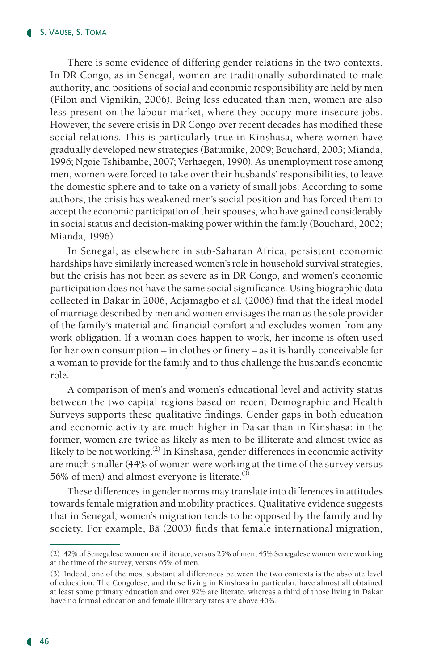There is some evidence of differing gender relations in the two contexts. In DR Congo, as in Senegal, women are traditionally subordinated to male authority, and positions of social and economic responsibility are held by men (Pilon and Vignikin, 2006). Being less educated than men, women are also less present on the labour market, where they occupy more insecure jobs. However, the severe crisis in DR Congo over recent decades has modified these social relations. This is particularly true in Kinshasa, where women have gradually developed new strategies (Batumike, 2009; Bouchard, 2003; Mianda, 1996; Ngoie Tshibambe, 2007; Verhaegen, 1990). As unemployment rose among men, women were forced to take over their husbands' responsibilities, to leave the domestic sphere and to take on a variety of small jobs. According to some authors, the crisis has weakened men's social position and has forced them to accept the economic participation of their spouses, who have gained considerably in social status and decision-making power within the family (Bouchard, 2002; Mianda, 1996).

In Senegal, as elsewhere in sub-Saharan Africa, persistent economic hardships have similarly increased women's role in household survival strategies, but the crisis has not been as severe as in DR Congo, and women's economic participation does not have the same social significance. Using biographic data collected in Dakar in 2006, Adjamagbo et al. (2006) find that the ideal model of marriage described by men and women envisages the man as the sole provider of the family's material and financial comfort and excludes women from any work obligation. If a woman does happen to work, her income is often used for her own consumption – in clothes or finery – as it is hardly conceivable for a woman to provide for the family and to thus challenge the husband's economic role.

A comparison of men's and women's educational level and activity status between the two capital regions based on recent Demographic and Health Surveys supports these qualitative findings. Gender gaps in both education and economic activity are much higher in Dakar than in Kinshasa: in the former, women are twice as likely as men to be illiterate and almost twice as likely to be not working.<sup>(2)</sup> In Kinshasa, gender differences in economic activity are much smaller (44% of women were working at the time of the survey versus 56% of men) and almost everyone is literate.<sup>(3)</sup>

These differences in gender norms may translate into differences in attitudes towards female migration and mobility practices. Qualitative evidence suggests that in Senegal, women's migration tends to be opposed by the family and by society. For example, Bâ (2003) finds that female international migration,

<sup>(2)</sup> 42% of Senegalese women are illiterate, versus 25% of men; 45% Senegalese women were working at the time of the survey, versus 65% of men.

<sup>(3)</sup> Indeed, one of the most substantial differences between the two contexts is the absolute level of education. The Congolese, and those living in Kinshasa in particular, have almost all obtained at least some primary education and over 92% are literate, whereas a third of those living in Dakar have no formal education and female illiteracy rates are above 40%.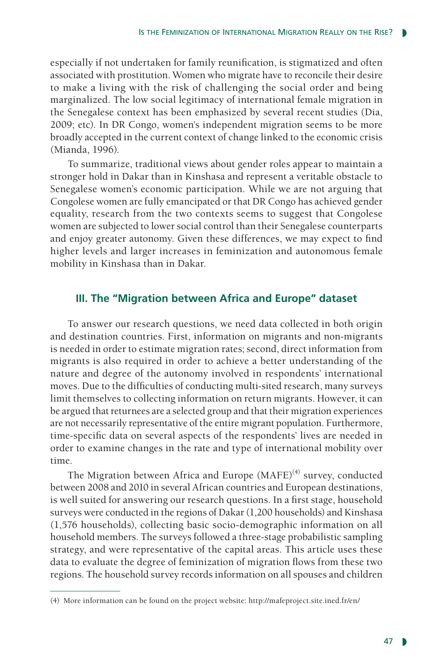especially if not undertaken for family reunification, is stigmatized and often associated with prostitution. Women who migrate have to reconcile their desire to make a living with the risk of challenging the social order and being marginalized. The low social legitimacy of international female migration in the Senegalese context has been emphasized by several recent studies (Dia, 2009; etc). In DR Congo, women's independent migration seems to be more broadly accepted in the current context of change linked to the economic crisis (Mianda, 1996).

To summarize, traditional views about gender roles appear to maintain a stronger hold in Dakar than in Kinshasa and represent a veritable obstacle to Senegalese women's economic participation. While we are not arguing that Congolese women are fully emancipated or that DR Congo has achieved gender equality, research from the two contexts seems to suggest that Congolese women are subjected to lower social control than their Senegalese counterparts and enjoy greater autonomy. Given these differences, we may expect to find higher levels and larger increases in feminization and autonomous female mobility in Kinshasa than in Dakar.

## **III. The "Migration between Africa and Europe" dataset**

To answer our research questions, we need data collected in both origin and destination countries. First, information on migrants and non-migrants is needed in order to estimate migration rates; second, direct information from migrants is also required in order to achieve a better understanding of the nature and degree of the autonomy involved in respondents' international moves. Due to the difficulties of conducting multi-sited research, many surveys limit themselves to collecting information on return migrants. However, it can be argued that returnees are a selected group and that their migration experiences are not necessarily representative of the entire migrant population. Furthermore, time-specific data on several aspects of the respondents' lives are needed in order to examine changes in the rate and type of international mobility over time.

The Migration between Africa and Europe  $(MAFE)^{(4)}$  survey, conducted between 2008 and 2010 in several African countries and European destinations, is well suited for answering our research questions. In a first stage, household surveys were conducted in the regions of Dakar (1,200 households) and Kinshasa (1,576 households), collecting basic socio-demographic information on all household members. The surveys followed a three-stage probabilistic sampling strategy, and were representative of the capital areas. This article uses these data to evaluate the degree of feminization of migration flows from these two regions. The household survey records information on all spouses and children

<sup>(4)</sup> More information can be found on the project website: http://mafeproject.site.ined.fr/en/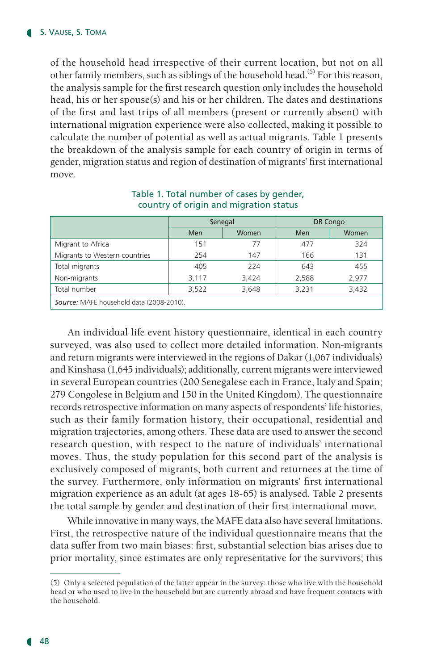of the household head irrespective of their current location, but not on all other family members, such as siblings of the household head.<sup>(5)</sup> For this reason, the analysis sample for the first research question only includes the household head, his or her spouse(s) and his or her children. The dates and destinations of the first and last trips of all members (present or currently absent) with international migration experience were also collected, making it possible to calculate the number of potential as well as actual migrants. Table 1 presents the breakdown of the analysis sample for each country of origin in terms of gender, migration status and region of destination of migrants' first international move.

|                                          | Senegal |       | DR Congo   |       |  |  |
|------------------------------------------|---------|-------|------------|-------|--|--|
|                                          | Men     | Women | <b>Men</b> | Women |  |  |
| Migrant to Africa                        | 151     | 77    | 477        | 324   |  |  |
| Migrants to Western countries            | 254     | 147   | 166        | 131   |  |  |
| Total migrants                           | 405     | 224   | 643        | 455   |  |  |
| Non-migrants                             | 3,117   | 3,424 | 2,588      | 2,977 |  |  |
| Total number                             | 3,522   | 3,648 | 3,231      | 3,432 |  |  |
| Source: MAFE household data (2008-2010). |         |       |            |       |  |  |

#### Table 1. Total number of cases by gender, country of origin and migration status

An individual life event history questionnaire, identical in each country surveyed, was also used to collect more detailed information. Non-migrants and return migrants were interviewed in the regions of Dakar (1,067 individuals) and Kinshasa (1,645 individuals); additionally, current migrants were interviewed in several European countries (200 Senegalese each in France, Italy and Spain; 279 Congolese in Belgium and 150 in the United Kingdom). The questionnaire records retrospective information on many aspects of respondents' life histories, such as their family formation history, their occupational, residential and migration trajectories, among others. These data are used to answer the second research question, with respect to the nature of individuals' international moves. Thus, the study population for this second part of the analysis is exclusively composed of migrants, both current and returnees at the time of the survey. Furthermore, only information on migrants' first international migration experience as an adult (at ages 18-65) is analysed. Table 2 presents the total sample by gender and destination of their first international move.

While innovative in many ways, the MAFE data also have several limitations. First, the retrospective nature of the individual questionnaire means that the data suffer from two main biases: first, substantial selection bias arises due to prior mortality, since estimates are only representative for the survivors; this

<sup>(5)</sup> Only a selected population of the latter appear in the survey: those who live with the household head or who used to live in the household but are currently abroad and have frequent contacts with the household.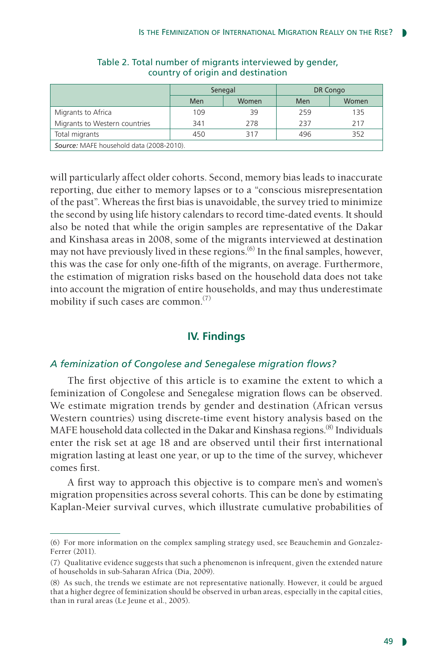|                                          | Senegal |       | DR Congo |       |  |  |
|------------------------------------------|---------|-------|----------|-------|--|--|
|                                          | Men     | Women | Men      | Women |  |  |
| Migrants to Africa                       | 109     | 39    | 259      | 135   |  |  |
| Migrants to Western countries            | 341     | 278   | 237      | 217   |  |  |
| Total migrants                           | 450     | 317   | 496      | 352   |  |  |
| Source: MAFE household data (2008-2010). |         |       |          |       |  |  |

## Table 2. Total number of migrants interviewed by gender, country of origin and destination

will particularly affect older cohorts. Second, memory bias leads to inaccurate reporting, due either to memory lapses or to a "conscious misrepresentation of the past". Whereas the first bias is unavoidable, the survey tried to minimize the second by using life history calendars to record time-dated events. It should also be noted that while the origin samples are representative of the Dakar and Kinshasa areas in 2008, some of the migrants interviewed at destination may not have previously lived in these regions.<sup>(6)</sup> In the final samples, however, this was the case for only one-fifth of the migrants, on average. Furthermore, the estimation of migration risks based on the household data does not take into account the migration of entire households, and may thus underestimate mobility if such cases are common.(7)

# **IV. Findings**

## *A feminization of Congolese and Senegalese migration flows?*

The first objective of this article is to examine the extent to which a feminization of Congolese and Senegalese migration flows can be observed. We estimate migration trends by gender and destination (African versus Western countries) using discrete-time event history analysis based on the MAFE household data collected in the Dakar and Kinshasa regions.<sup>(8)</sup> Individuals enter the risk set at age 18 and are observed until their first international migration lasting at least one year, or up to the time of the survey, whichever comes first.

A first way to approach this objective is to compare men's and women's migration propensities across several cohorts. This can be done by estimating Kaplan-Meier survival curves, which illustrate cumulative probabilities of

<sup>(6)</sup> For more information on the complex sampling strategy used, see Beauchemin and Gonzalez-Ferrer (2011).

<sup>(7)</sup> Qualitative evidence suggests that such a phenomenon is infrequent, given the extended nature of households in sub-Saharan Africa (Dia, 2009).

<sup>(8)</sup> As such, the trends we estimate are not representative nationally. However, it could be argued that a higher degree of feminization should be observed in urban areas, especially in the capital cities, than in rural areas (Le Jeune et al., 2005).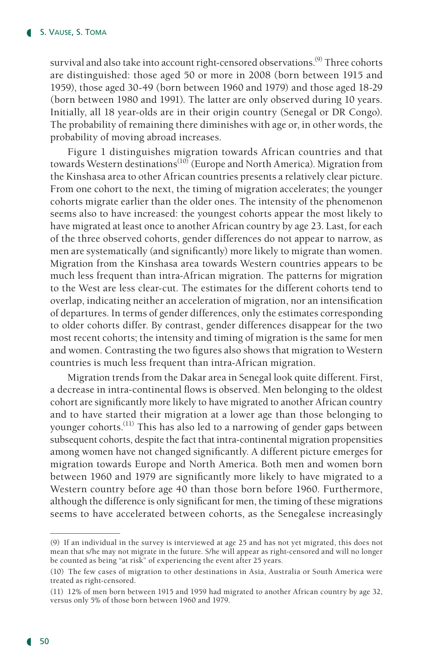survival and also take into account right-censored observations.<sup>(9)</sup> Three cohorts are distinguished: those aged 50 or more in 2008 (born between 1915 and 1959), those aged 30-49 (born between 1960 and 1979) and those aged 18-29 (born between 1980 and 1991). The latter are only observed during 10 years. Initially, all 18 year-olds are in their origin country (Senegal or DR Congo). The probability of remaining there diminishes with age or, in other words, the probability of moving abroad increases.

Figure 1 distinguishes migration towards African countries and that towards Western destinations<sup>(10)</sup> (Europe and North America). Migration from the Kinshasa area to other African countries presents a relatively clear picture. From one cohort to the next, the timing of migration accelerates; the younger cohorts migrate earlier than the older ones. The intensity of the phenomenon seems also to have increased: the youngest cohorts appear the most likely to have migrated at least once to another African country by age 23. Last, for each of the three observed cohorts, gender differences do not appear to narrow, as men are systematically (and significantly) more likely to migrate than women. Migration from the Kinshasa area towards Western countries appears to be much less frequent than intra-African migration. The patterns for migration to the West are less clear-cut. The estimates for the different cohorts tend to overlap, indicating neither an acceleration of migration, nor an intensification of departures. In terms of gender differences, only the estimates corresponding to older cohorts differ. By contrast, gender differences disappear for the two most recent cohorts; the intensity and timing of migration is the same for men and women. Contrasting the two figures also shows that migration to Western countries is much less frequent than intra-African migration.

Migration trends from the Dakar area in Senegal look quite different. First, a decrease in intra-continental flows is observed. Men belonging to the oldest cohort are significantly more likely to have migrated to another African country and to have started their migration at a lower age than those belonging to younger cohorts.(11) This has also led to a narrowing of gender gaps between subsequent cohorts, despite the fact that intra-continental migration propensities among women have not changed significantly. A different picture emerges for migration towards Europe and North America. Both men and women born between 1960 and 1979 are significantly more likely to have migrated to a Western country before age 40 than those born before 1960. Furthermore, although the difference is only significant for men, the timing of these migrations seems to have accelerated between cohorts, as the Senegalese increasingly

<sup>(9)</sup> If an individual in the survey is interviewed at age 25 and has not yet migrated, this does not mean that s/he may not migrate in the future. S/he will appear as right-censored and will no longer be counted as being "at risk" of experiencing the event after 25 years.

<sup>(10)</sup> The few cases of migration to other destinations in Asia, Australia or South America were treated as right-censored.

<sup>(11)</sup> 12% of men born between 1915 and 1959 had migrated to another African country by age 32, versus only 5% of those born between 1960 and 1979.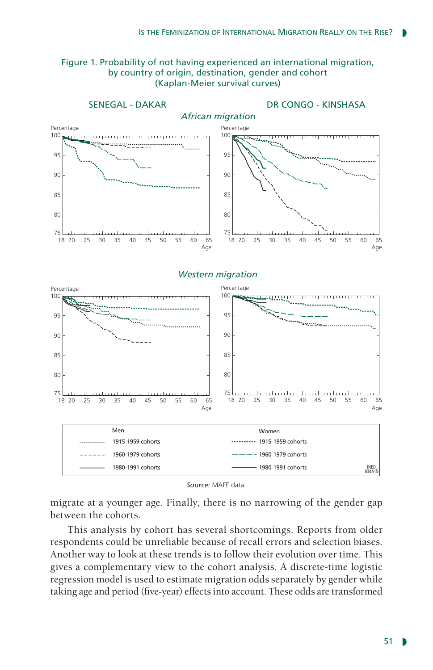

#### Figure 1. Probability of not having experienced an international migration, by country of origin, destination, gender and cohort (Kaplan-Meier survival curves)

*Source:* MAFE data.

migrate at a younger age. Finally, there is no narrowing of the gender gap between the cohorts.

This analysis by cohort has several shortcomings. Reports from older respondents could be unreliable because of recall errors and selection biases. Another way to look at these trends is to follow their evolution over time. This gives a complementary view to the cohort analysis. A discrete-time logistic regression model is used to estimate migration odds separately by gender while taking age and period (five-year) effects into account. These odds are transformed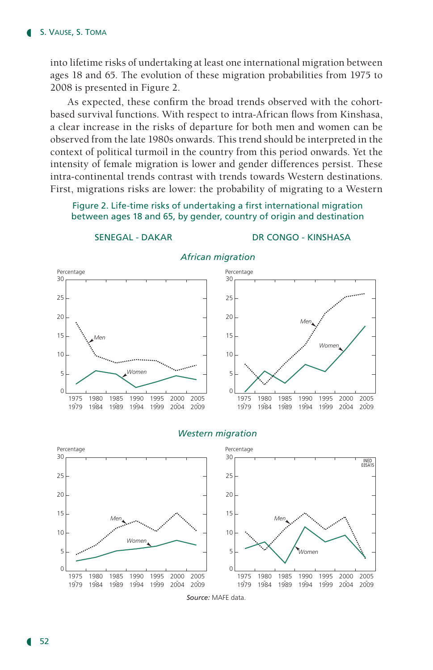into lifetime risks of undertaking at least one international migration between ages 18 and 65. The evolution of these migration probabilities from 1975 to 2008 is presented in Figure 2.

As expected, these confirm the broad trends observed with the cohortbased survival functions. With respect to intra-African flows from Kinshasa, a clear increase in the risks of departure for both men and women can be observed from the late 1980s onwards. This trend should be interpreted in the context of political turmoil in the country from this period onwards. Yet the intensity of female migration is lower and gender differences persist. These intra-continental trends contrast with trends towards Western destinations. First, migrations risks are lower: the probability of migrating to a Western

#### Figure 2. Life-time risks of undertaking a first international migration between ages 18 and 65, by gender, country of origin and destination



#### SENEGAL - DAKAR DR CONGO - KINSHASA



#### *African migration*

#### *Western migration*



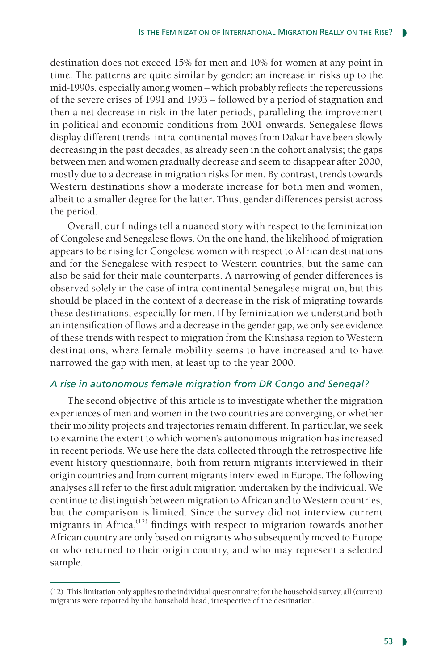destination does not exceed 15% for men and 10% for women at any point in time. The patterns are quite similar by gender: an increase in risks up to the mid-1990s, especially among women – which probably reflects the repercussions of the severe crises of 1991 and 1993 – followed by a period of stagnation and then a net decrease in risk in the later periods, paralleling the improvement in political and economic conditions from 2001 onwards. Senegalese flows display different trends: intra-continental moves from Dakar have been slowly decreasing in the past decades, as already seen in the cohort analysis; the gaps between men and women gradually decrease and seem to disappear after 2000, mostly due to a decrease in migration risks for men. By contrast, trends towards Western destinations show a moderate increase for both men and women, albeit to a smaller degree for the latter. Thus, gender differences persist across the period.

Overall, our findings tell a nuanced story with respect to the feminization of Congolese and Senegalese flows. On the one hand, the likelihood of migration appears to be rising for Congolese women with respect to African destinations and for the Senegalese with respect to Western countries, but the same can also be said for their male counterparts. A narrowing of gender differences is observed solely in the case of intra-continental Senegalese migration, but this should be placed in the context of a decrease in the risk of migrating towards these destinations, especially for men. If by feminization we understand both an intensification of flows and a decrease in the gender gap, we only see evidence of these trends with respect to migration from the Kinshasa region to Western destinations, where female mobility seems to have increased and to have narrowed the gap with men, at least up to the year 2000.

## *A rise in autonomous female migration from DR Congo and Senegal?*

The second objective of this article is to investigate whether the migration experiences of men and women in the two countries are converging, or whether their mobility projects and trajectories remain different. In particular, we seek to examine the extent to which women's autonomous migration has increased in recent periods. We use here the data collected through the retrospective life event history questionnaire, both from return migrants interviewed in their origin countries and from current migrants interviewed in Europe. The following analyses all refer to the first adult migration undertaken by the individual. We continue to distinguish between migration to African and to Western countries, but the comparison is limited. Since the survey did not interview current migrants in  $A$ frica,<sup>(12)</sup> findings with respect to migration towards another African country are only based on migrants who subsequently moved to Europe or who returned to their origin country, and who may represent a selected sample.

<sup>(12)</sup> This limitation only applies to the individual questionnaire; for the household survey, all (current) migrants were reported by the household head, irrespective of the destination.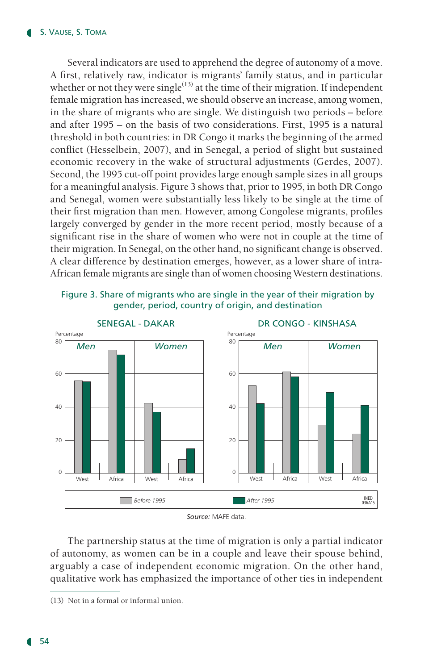Several indicators are used to apprehend the degree of autonomy of a move. A first, relatively raw, indicator is migrants' family status, and in particular whether or not they were single<sup>(13)</sup> at the time of their migration. If independent female migration has increased, we should observe an increase, among women, in the share of migrants who are single. We distinguish two periods – before and after 1995 – on the basis of two considerations. First, 1995 is a natural threshold in both countries: in DR Congo it marks the beginning of the armed conflict (Hesselbein, 2007), and in Senegal, a period of slight but sustained economic recovery in the wake of structural adjustments (Gerdes, 2007). Second, the 1995 cut-off point provides large enough sample sizes in all groups for a meaningful analysis. Figure 3 shows that, prior to 1995, in both DR Congo and Senegal, women were substantially less likely to be single at the time of their first migration than men. However, among Congolese migrants, profiles largely converged by gender in the more recent period, mostly because of a significant rise in the share of women who were not in couple at the time of their migration. In Senegal, on the other hand, no significant change is observed. A clear difference by destination emerges, however, as a lower share of intra-African female migrants are single than of women choosing Western destinations.

Figure 3. Share of migrants who are single in the year of their migration by gender, period, country of origin, and destination



*Source:* MAFE data.

The partnership status at the time of migration is only a partial indicator of autonomy, as women can be in a couple and leave their spouse behind, arguably a case of independent economic migration. On the other hand, qualitative work has emphasized the importance of other ties in independent

<sup>(13)</sup> Not in a formal or informal union.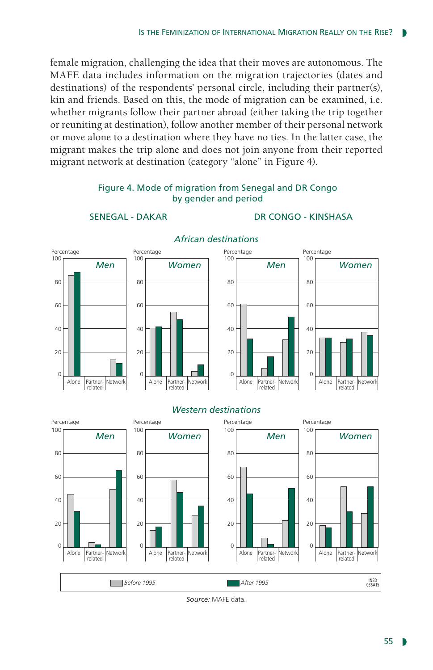female migration, challenging the idea that their moves are autonomous. The MAFE data includes information on the migration trajectories (dates and destinations) of the respondents' personal circle, including their partner(s), kin and friends. Based on this, the mode of migration can be examined, i.e. whether migrants follow their partner abroad (either taking the trip together or reuniting at destination), follow another member of their personal network or move alone to a destination where they have no ties. In the latter case, the migrant makes the trip alone and does not join anyone from their reported migrant network at destination (category "alone" in Figure 4).



Figure 4. Mode of migration from Senegal and DR Congo by gender and period

SENEGAL - DAKAR DR CONGO - KINSHASA

*Source:* MAFE data.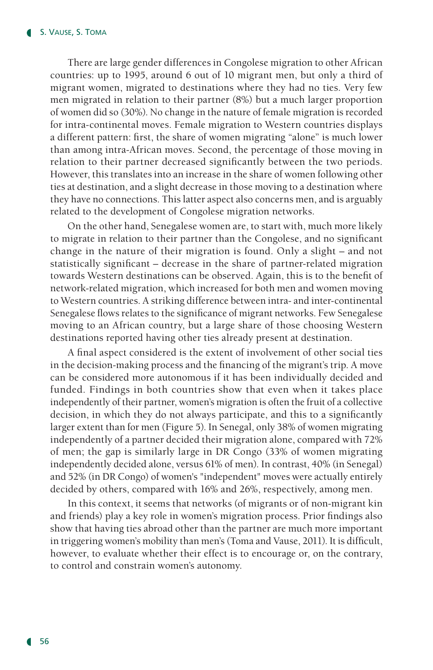There are large gender differences in Congolese migration to other African countries: up to 1995, around 6 out of 10 migrant men, but only a third of migrant women, migrated to destinations where they had no ties. Very few men migrated in relation to their partner (8%) but a much larger proportion of women did so (30%). No change in the nature of female migration is recorded for intra-continental moves. Female migration to Western countries displays a different pattern: first, the share of women migrating "alone" is much lower than among intra-African moves. Second, the percentage of those moving in relation to their partner decreased significantly between the two periods. However, this translates into an increase in the share of women following other ties at destination, and a slight decrease in those moving to a destination where they have no connections. This latter aspect also concerns men, and is arguably related to the development of Congolese migration networks.

On the other hand, Senegalese women are, to start with, much more likely to migrate in relation to their partner than the Congolese, and no significant change in the nature of their migration is found. Only a slight – and not statistically significant – decrease in the share of partner-related migration towards Western destinations can be observed. Again, this is to the benefit of network-related migration, which increased for both men and women moving to Western countries. A striking difference between intra- and inter-continental Senegalese flows relates to the significance of migrant networks. Few Senegalese moving to an African country, but a large share of those choosing Western destinations reported having other ties already present at destination.

A final aspect considered is the extent of involvement of other social ties in the decision-making process and the financing of the migrant's trip. A move can be considered more autonomous if it has been individually decided and funded. Findings in both countries show that even when it takes place independently of their partner, women's migration is often the fruit of a collective decision, in which they do not always participate, and this to a significantly larger extent than for men (Figure 5). In Senegal, only 38% of women migrating independently of a partner decided their migration alone, compared with 72% of men; the gap is similarly large in DR Congo (33% of women migrating independently decided alone, versus 61% of men). In contrast, 40% (in Senegal) and 52% (in DR Congo) of women's "independent" moves were actually entirely decided by others, compared with 16% and 26%, respectively, among men.

In this context, it seems that networks (of migrants or of non-migrant kin and friends) play a key role in women's migration process. Prior findings also show that having ties abroad other than the partner are much more important in triggering women's mobility than men's (Toma and Vause, 2011). It is difficult, however, to evaluate whether their effect is to encourage or, on the contrary, to control and constrain women's autonomy.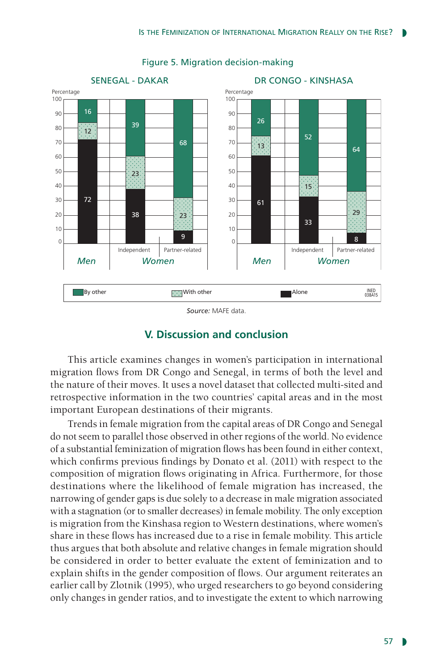

## Figure 5. Migration decision-making

*Source:* MAFE data.

# **V. Discussion and conclusion**

This article examines changes in women's participation in international migration flows from DR Congo and Senegal, in terms of both the level and the nature of their moves. It uses a novel dataset that collected multi-sited and retrospective information in the two countries' capital areas and in the most important European destinations of their migrants.

Trends in female migration from the capital areas of DR Congo and Senegal do not seem to parallel those observed in other regions of the world. No evidence of a substantial feminization of migration flows has been found in either context, which confirms previous findings by Donato et al. (2011) with respect to the composition of migration flows originating in Africa. Furthermore, for those destinations where the likelihood of female migration has increased, the narrowing of gender gaps is due solely to a decrease in male migration associated with a stagnation (or to smaller decreases) in female mobility. The only exception is migration from the Kinshasa region to Western destinations, where women's share in these flows has increased due to a rise in female mobility. This article thus argues that both absolute and relative changes in female migration should be considered in order to better evaluate the extent of feminization and to explain shifts in the gender composition of flows. Our argument reiterates an earlier call by Zlotnik (1995), who urged researchers to go beyond considering only changes in gender ratios, and to investigate the extent to which narrowing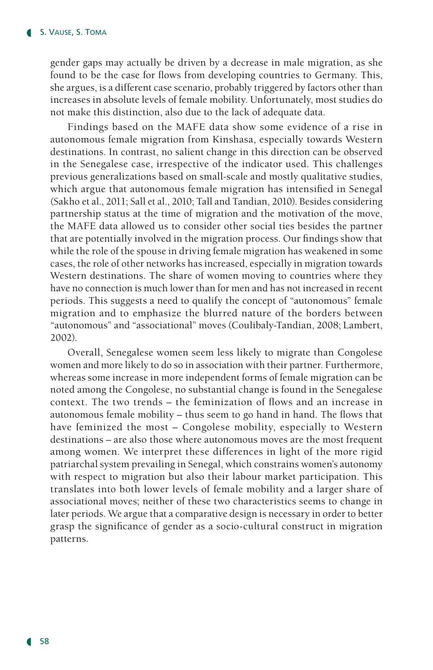gender gaps may actually be driven by a decrease in male migration, as she found to be the case for flows from developing countries to Germany. This, she argues, is a different case scenario, probably triggered by factors other than increases in absolute levels of female mobility. Unfortunately, most studies do not make this distinction, also due to the lack of adequate data.

Findings based on the MAFE data show some evidence of a rise in autonomous female migration from Kinshasa, especially towards Western destinations. In contrast, no salient change in this direction can be observed in the Senegalese case, irrespective of the indicator used. This challenges previous generalizations based on small-scale and mostly qualitative studies, which argue that autonomous female migration has intensified in Senegal (Sakho et al., 2011; Sall et al., 2010; Tall and Tandian, 2010). Besides considering partnership status at the time of migration and the motivation of the move, the MAFE data allowed us to consider other social ties besides the partner that are potentially involved in the migration process. Our findings show that while the role of the spouse in driving female migration has weakened in some cases, the role of other networks has increased, especially in migration towards Western destinations. The share of women moving to countries where they have no connection is much lower than for men and has not increased in recent periods. This suggests a need to qualify the concept of "autonomous" female migration and to emphasize the blurred nature of the borders between "autonomous" and "associational" moves (Coulibaly-Tandian, 2008; Lambert, 2002).

Overall, Senegalese women seem less likely to migrate than Congolese women and more likely to do so in association with their partner. Furthermore, whereas some increase in more independent forms of female migration can be noted among the Congolese, no substantial change is found in the Senegalese context. The two trends – the feminization of flows and an increase in autonomous female mobility – thus seem to go hand in hand. The flows that have feminized the most – Congolese mobility, especially to Western destinations – are also those where autonomous moves are the most frequent among women. We interpret these differences in light of the more rigid patriarchal system prevailing in Senegal, which constrains women's autonomy with respect to migration but also their labour market participation. This translates into both lower levels of female mobility and a larger share of associational moves; neither of these two characteristics seems to change in later periods. We argue that a comparative design is necessary in order to better grasp the significance of gender as a socio-cultural construct in migration patterns.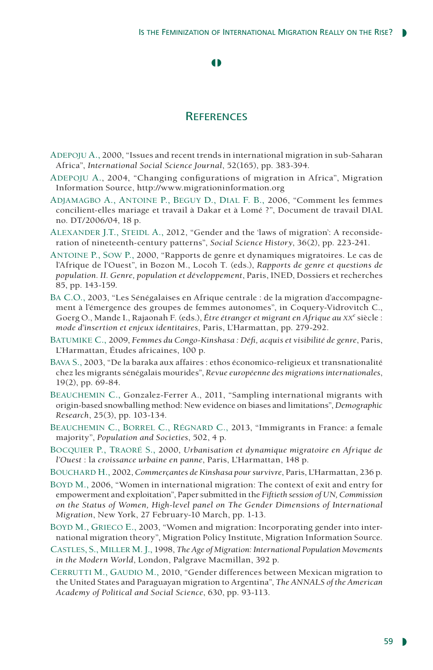#### $\bullet$

## **REFERENCES**

- ADEPOJU A., 2000, "Issues and recent trends in international migration in sub-Saharan Africa", *International Social Science Journal*, 52(165), pp. 383-394.
- Adepoju A., 2004, "Changing configurations of migration in Africa", Migration Information Source, http://www.migrationinformation.org
- Adjamagbo A., Antoine P., Beguy D., Dial F. B., 2006, "Comment les femmes concilient-elles mariage et travail à Dakar et à Lomé ?", Document de travail DIAL no. DT/2006/04, 18 p.
- Alexander J.T., Steidl A., 2012, "Gender and the 'laws of migration': A reconsideration of nineteenth-century patterns", *Social Science History*, 36(2), pp. 223-241.
- Antoine P., Sow P., 2000, "Rapports de genre et dynamiques migratoires. Le cas de l'Afrique de l'Ouest", in Bozon M., Locoh T. (eds.), *Rapports de genre et questions de population. II. Genre, population et développement*, Paris, INED, Dossiers et recherches 85, pp. 143-159.
- Ba C.O., 2003, "Les Sénégalaises en Afrique centrale : de la migration d'accompagnement à l'émergence des groupes de femmes autonomes", in Coquery-Vidrovitch C., Goerg O., Mande I., Rajaonah F. (eds.), *Être étranger et migrant en Afrique au XX<sup>e</sup> siècle* : *mode d'insertion et enjeux identitaires*, Paris, L'Harmattan, pp. 279-292.
- Batumike C., 2009, *Femmes du Congo-Kinshasa : Défi, acquis et visibilité de genre*, Paris, L'Harmattan, Études africaines, 100 p.
- Bava S., 2003, "De la baraka aux affaires : ethos économico-religieux et transnationalité chez les migrants sénégalais mourides", *Revue européenne des migrations internationales*, 19(2), pp. 69-84.
- Beauchemin C., Gonzalez-Ferrer A., 2011, "Sampling international migrants with origin-based snowballing method: New evidence on biases and limitations", *Demographic Research*, 25(3), pp. 103-134.
- BEAUCHEMIN C., BORREL C., RÉGNARD C., 2013, "Immigrants in France: a female majority", *Population and Societies*, 502, 4 p.
- Bocquier P., Traoré S., 2000, *Urbanisation et dynamique migratoire en Afrique de l'Ouest* : la *croissance urbaine en panne*, Paris, L'Harmattan, 148 p.
- Bouchard H., 2002, *Commerçantes de Kinshasa pour survivre*, Paris, L'Harmattan, 236 p.
- Boyd M., 2006, "Women in international migration: The context of exit and entry for empowerment and exploitation", Paper submitted in the *Fiftieth session of UN, Commission on the Status of Women, High-level panel on The Gender Dimensions of International Migration*, New York, 27 February-10 March, pp. 1-13.
- BOYD M., GRIECO E., 2003, "Women and migration: Incorporating gender into international migration theory", Migration Policy Institute, Migration Information Source.
- Castles, S., Miller M. J., 1998, *The Age of Migration: International Population Movements in the Modern World*, London, Palgrave Macmillan, 392 p.
- CERRUTTI M., GAUDIO M., 2010, "Gender differences between Mexican migration to the United States and Paraguayan migration to Argentina", *The ANNALS of the American Academy of Political and Social Science*, 630, pp. 93-113.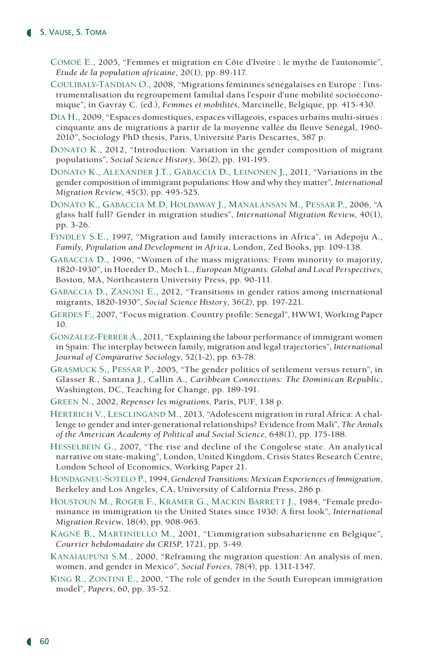- Comoé E., 2005, "Femmes et migration en Côte d'Ivoire : le mythe de l'autonomie", *Étude de la population africaine*, 20(1), pp. 89-117.
- Coulibaly-Tandian O., 2008, "Migrations féminines sénégalaises en Europe : l'instrumentalisation du regroupement familial dans l'espoir d'une mobilité socioéconomique", in Gavray C. (ed.), *Femmes et mobilités*, Marcinelle, Belgique, pp. 415-430.
- Dia H., 2009, "Espaces domestiques, espaces villageois, espaces urbains multi-situés : cinquante ans de migrations à partir de la moyenne vallée du fleuve Sénégal, 1960- 2010", Sociology PhD thesis, Paris, Université Paris Descartes, 587 p.
- Donato K., 2012, "Introduction: Variation in the gender composition of migrant populations", *Social Science History*, 36(2), pp. 191-195.
- Donato K., Alexander J.T., Gabaccia D., Leinonen J., 2011, "Variations in the gender composition of immigrant populations: How and why they matter", *International Migration Review*, 45(3), pp. 495-525.
- Donato K., Gabaccia M.D, Holdaway J., Manalansan M., Pessar P., 2006, "A glass half full? Gender in migration studies", *International Migration Review*, 40(1), pp. 3-26.
- Findley S.E., 1997, "Migration and family interactions in Africa", in Adepoju A., *Family, Population and Development in Africa*, London, Zed Books, pp. 109-138.
- Gabaccia D., 1996, "Women of the mass migrations: From minority to majority, 1820-1930", in Hoerder D., Moch L., *European Migrants: Global and Local Perspectives*, Boston, MA, Northeastern University Press, pp. 90-111.
- Gabaccia D., Zanoni E., 2012, "Transitions in gender ratios among international migrants, 1820-1930", *Social Science History*, 36(2), pp. 197-221.
- Gerdes F., 2007, "Focus migration. Country profile: Senegal", HWWI, Working Paper 10.
- González-Ferrer A., 2011, "Explaining the labour performance of immigrant women in Spain: The interplay between family, migration and legal trajectories", *International Journal of Comparative Sociology*, 52(1-2), pp. 63-78.
- Grasmuck S., Pessar P., 2005, "The gender politics of settlement versus return", in Glasser R., Santana J., Callin A., *Caribbean Connections: The Dominican Republic*, Washington, DC, Teaching for Change, pp. 189-191.
- Green N., 2002, *Repenser les migrations*, Paris, PUF, 138 p.
- HERTRICH V., LESCLINGAND M., 2013, "Adolescent migration in rural Africa: A challenge to gender and inter-generational relationships? Evidence from Mali", *The Annals of the American Academy of Political and Social Science*, 648(1), pp. 175-188.
- Hesselbein G., 2007, "The rise and decline of the Congolese state. An analytical narrative on state-making", London, United Kingdom, Crisis States Research Centre, London School of Economics, Working Paper 21.
- Hondagneu-Sotelo P., 1994, *Gendered Transitions: Mexican Experiences of Immigration*, Berkeley and Los Angeles, CA, University of California Press, 286 p.
- Houstoun M., Roger F., Kramer G., Mackin Barrett J., 1984, "Female predominance in immigration to the United States since 1930: A first look", *International Migration Review*, 18(4), pp. 908-963.
- Kagné B., Martiniello M., 2001, "L'immigration subsaharienne en Belgique", *Courrier hebdomadaire du CRISP*, 1721, pp. 5-49.
- Kanaiaupuni S.M., 2000, "Reframing the migration question: An analysis of men, women, and gender in Mexico", *Social Forces*, 78(4), pp. 1311-1347.
- King R., Zontini E., 2000, "The role of gender in the South European immigration model", *Papers*, 60, pp. 35-52.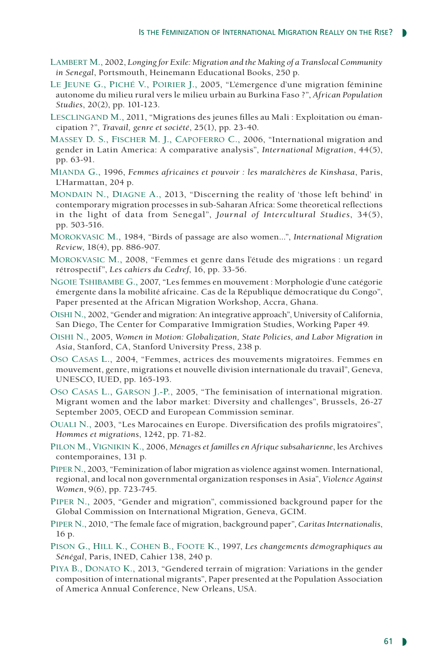- Lambert M., 2002, *Longing for Exile: Migration and the Making of a Translocal Community in Senegal*, Portsmouth, Heinemann Educational Books, 250 p.
- LE JEUNE G., PICHÉ V., POIRIER J., 2005, "L'émergence d'une migration féminine autonome du milieu rural vers le milieu urbain au Burkina Faso ?", *African Population Studies*, 20(2), pp. 101-123.
- Lesclingand M., 2011, "Migrations des jeunes filles au Mali : Exploitation ou émancipation ?", *Travail, genre et société*, 25(1), pp. 23-40.
- MASSEY D. S., FISCHER M. J., CAPOFERRO C., 2006, "International migration and gender in Latin America: A comparative analysis", *International Migration*, 44(5), pp. 63-91.
- Mianda G., 1996, *Femmes africaines et pouvoir : les maraîchères de Kinshasa*, Paris, L'Harmattan, 204 p.
- Mondain N., Diagne A., 2013, "Discerning the reality of 'those left behind' in contemporary migration processes in sub-Saharan Africa: Some theoretical reflections in the light of data from Senegal", *Journal of Intercultural Studies*, 34(5), pp. 503-516.
- Morokvasic M., 1984, "Birds of passage are also women...", *International Migration Review*, 18(4), pp. 886-907.
- Morokvasic M., 2008, "Femmes et genre dans l'étude des migrations : un regard rétrospectif", *Les cahiers du Cedref*, 16, pp. 33-56.
- Ngoie Tshibambe G., 2007, "Les femmes en mouvement : Morphologie d'une catégorie émergente dans la mobilité africaine. Cas de la République démocratique du Congo", Paper presented at the African Migration Workshop, Accra, Ghana.
- Oishi N., 2002, "Gender and migration: An integrative approach", University of California, San Diego, The Center for Comparative Immigration Studies, Working Paper 49.
- Oishi N., 2005, *Women in Motion: Globalization, State Policies, and Labor Migration in Asia*, Stanford, CA, Stanford University Press, 238 p.
- Oso Casas L., 2004, "Femmes, actrices des mouvements migratoires. Femmes en mouvement, genre, migrations et nouvelle division internationale du travail", Geneva, UNESCO, IUED, pp. 165-193.
- Oso Casas L., Garson J.-P., 2005, "The feminisation of international migration. Migrant women and the labor market: Diversity and challenges", Brussels, 26-27 September 2005, OECD and European Commission seminar.
- Ouali N., 2003, "Les Marocaines en Europe. Diversification des profils migratoires", *Hommes et migrations*, 1242, pp. 71-82.
- Pilon M., Vignikin K., 2006, *Ménages et familles en Afrique subsaharienne*, les Archives contemporaines, 131 p.
- Piper N., 2003, "Feminization of labor migration as violence against women. International, regional, and local non governmental organization responses in Asia", *Violence Against Women*, 9(6), pp. 723-745.
- Piper N., 2005, "Gender and migration", commissioned background paper for the Global Commission on International Migration, Geneva, GCIM.
- Piper N., 2010, "The female face of migration, background paper", *Caritas Internationalis*, 16 p.
- Pison G., Hill K., Cohen B., Foote K., 1997, *Les changements démographiques au Sénégal*, Paris, INED, Cahier 138, 240 p.
- Piya B., Donato K., 2013, "Gendered terrain of migration: Variations in the gender composition of international migrants", Paper presented at the Population Association of America Annual Conference, New Orleans, USA.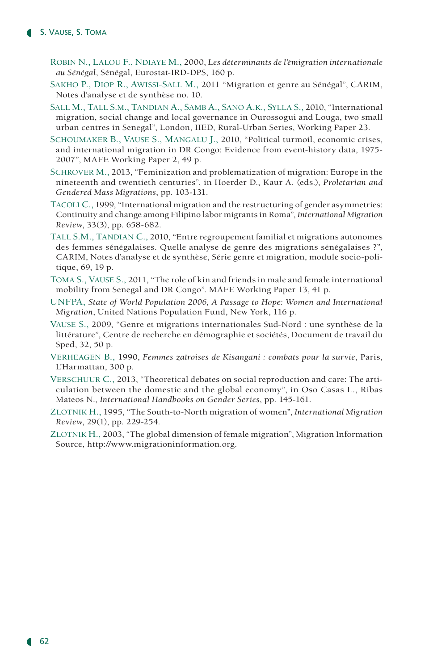- Robin N., Lalou F., Ndiaye M., 2000, *Les déterminants de l'émigration internationale au Sénégal*, Sénégal, Eurostat-IRD-DPS, 160 p.
- Sakho P., Diop R., Awissi-Sall M., 2011 "Migration et genre au Sénégal", CARIM, Notes d'analyse et de synthèse no. 10.
- Sall M., Tall S.m., Tandian A., Samb A., Sano A.k., Sylla S., 2010, "International migration, social change and local governance in Ourossogui and Louga, two small urban centres in Senegal", London, IIED, Rural-Urban Series, Working Paper 23.
- SCHOUMAKER B., VAUSE S., MANGALU J., 2010, "Political turmoil, economic crises, and international migration in DR Congo: Evidence from event-history data, 1975- 2007", MAFE Working Paper 2, 49 p.
- SCHROVER M., 2013, "Feminization and problematization of migration: Europe in the nineteenth and twentieth centuries", in Hoerder D., Kaur A. (eds.), *Proletarian and Gendered Mass Migrations*, pp. 103-131.
- Tacoli C., 1999, "International migration and the restructuring of gender asymmetries: Continuity and change among Filipino labor migrants in Roma", *International Migration Review*, 33(3), pp. 658-682.
- Tall S.m., Tandian C., 2010, "Entre regroupement familial et migrations autonomes des femmes sénégalaises. Quelle analyse de genre des migrations sénégalaises ?", CARIM, Notes d'analyse et de synthèse, Série genre et migration, module socio-politique, 69, 19 p.
- Toma S., Vause S., 2011, "The role of kin and friends in male and female international mobility from Senegal and DR Congo". MAFE Working Paper 13, 41 p.
- UNFPA, *State of World Population 2006, A Passage to Hope: Women and International Migration*, United Nations Population Fund, New York, 116 p.
- Vause S., 2009, "Genre et migrations internationales Sud-Nord : une synthèse de la littérature", Centre de recherche en démographie et sociétés, Document de travail du Sped, 32, 50 p.
- Verheagen B., 1990, *Femmes zaïroises de Kisangani : combats pour la survie*, Paris, L'Harmattan, 300 p.
- Verschuur C., 2013, "Theoretical debates on social reproduction and care: The articulation between the domestic and the global economy", in Oso Casas L., Ribas Mateos N., *International Handbooks on Gender Series*, pp. 145-161.
- Zlotnik H., 1995, "The South-to-North migration of women", *International Migration Review*, 29(1), pp. 229-254.
- Zlotnik H., 2003, "The global dimension of female migration", Migration Information Source, http://www.migrationinformation.org.